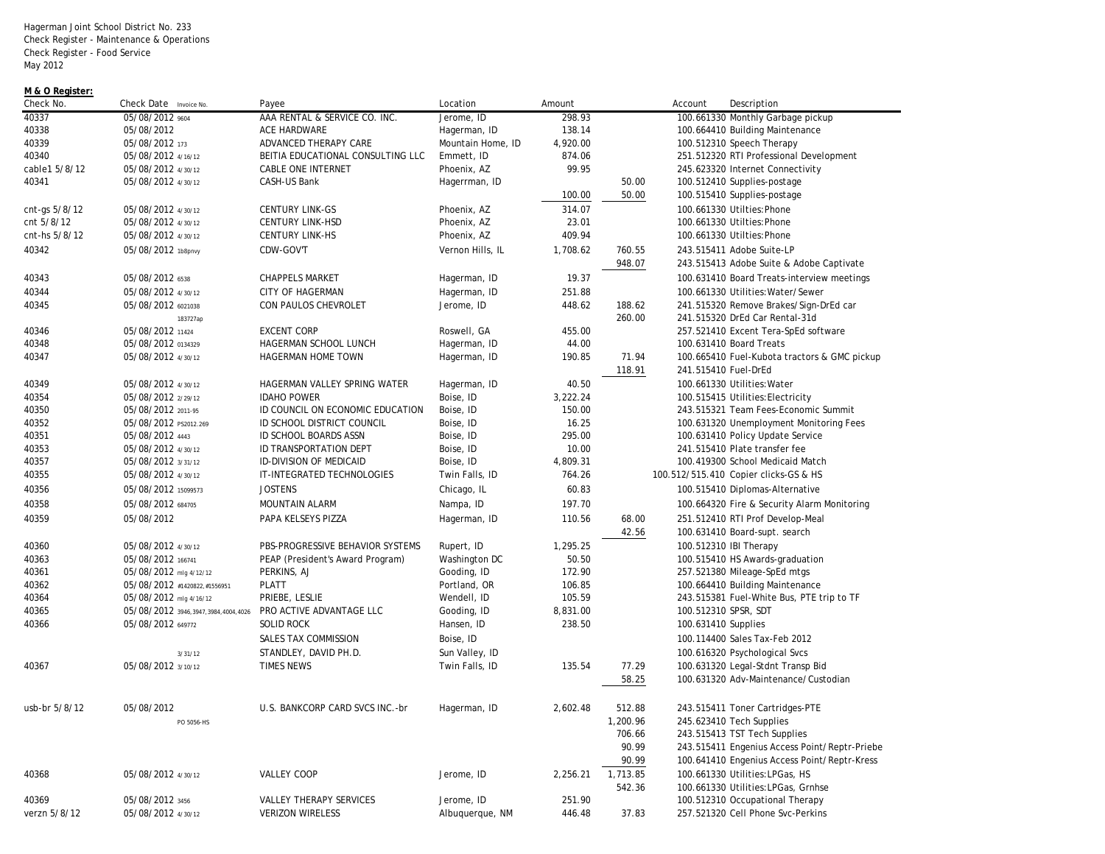Hagerman Joint School District No. 233 Check Register - Maintenance & Operations Check Register - Food Service May 2012

## **M & O Register:**

| Check No.     | Check Date Invoice No.              | Payee                             | Location          | Amount   |          | Description<br>Account                        |
|---------------|-------------------------------------|-----------------------------------|-------------------|----------|----------|-----------------------------------------------|
| 40337         | 05/08/2012 9604                     | AAA RENTAL & SERVICE CO. INC.     | Jerome, ID        | 298.93   |          | 100.661330 Monthly Garbage pickup             |
| 40338         | 05/08/2012                          | ACE HARDWARE                      | Hagerman, ID      | 138.14   |          | 100.664410 Building Maintenance               |
| 40339         | 05/08/2012 173                      | ADVANCED THERAPY CARE             | Mountain Home, ID | 4,920.00 |          | 100.512310 Speech Therapy                     |
| 40340         | 05/08/2012 4/16/12                  | BEITIA EDUCATIONAL CONSULTING LLC | Emmett, ID        | 874.06   |          | 251.512320 RTI Professional Development       |
| cable1 5/8/12 | 05/08/2012 4/30/12                  | <b>CABLE ONE INTERNET</b>         | Phoenix, AZ       | 99.95    |          | 245.623320 Internet Connectivity              |
| 40341         | 05/08/2012 4/30/12                  | CASH-US Bank                      | Hagerrman, ID     |          | 50.00    | 100.512410 Supplies-postage                   |
|               |                                     |                                   |                   | 100.00   | 50.00    | 100.515410 Supplies-postage                   |
| cnt-gs 5/8/12 | 05/08/2012 4/30/12                  | <b>CENTURY LINK-GS</b>            | Phoenix, AZ       | 314.07   |          | 100.661330 Utilties: Phone                    |
| cnt 5/8/12    | 05/08/2012 4/30/12                  | <b>CENTURY LINK-HSD</b>           | Phoenix, AZ       | 23.01    |          | 100.661330 Utilties: Phone                    |
| cnt-hs 5/8/12 | 05/08/2012 4/30/12                  | <b>CENTURY LINK-HS</b>            | Phoenix, AZ       | 409.94   |          | 100.661330 Utilties: Phone                    |
| 40342         | 05/08/2012 1b8pnvy                  | CDW-GOVT                          | Vernon Hills, IL  | 1,708.62 | 760.55   | 243.515411 Adobe Suite-LP                     |
|               |                                     |                                   |                   |          | 948.07   | 243.515413 Adobe Suite & Adobe Captivate      |
| 40343         | 05/08/2012 6538                     | <b>CHAPPELS MARKET</b>            | Hagerman, ID      | 19.37    |          | 100.631410 Board Treats-interview meetings    |
| 40344         | 05/08/2012 4/30/12                  | <b>CITY OF HAGERMAN</b>           | Hagerman, ID      | 251.88   |          | 100.661330 Utilities: Water/Sewer             |
| 40345         | 05/08/2012 6021038                  | CON PAULOS CHEVROLET              | Jerome, ID        | 448.62   | 188.62   | 241.515320 Remove Brakes/Sign-DrEd car        |
|               | 183727ap                            |                                   |                   |          | 260.00   | 241.515320 DrEd Car Rental-31d                |
| 40346         | 05/08/2012 11424                    | <b>EXCENT CORP</b>                | Roswell, GA       | 455.00   |          | 257.521410 Excent Tera-SpEd software          |
| 40348         | 05/08/2012 0134329                  | HAGERMAN SCHOOL LUNCH             | Hagerman, ID      | 44.00    |          | 100.631410 Board Treats                       |
| 40347         | 05/08/2012 4/30/12                  | <b>HAGERMAN HOME TOWN</b>         | Hagerman, ID      | 190.85   | 71.94    | 100.665410 Fuel-Kubota tractors & GMC pickup  |
|               |                                     |                                   |                   |          | 118.91   | 241.515410 Fuel-DrEd                          |
| 40349         | 05/08/2012 4/30/12                  | HAGERMAN VALLEY SPRING WATER      | Hagerman, ID      | 40.50    |          | 100.661330 Utilities: Water                   |
| 40354         | 05/08/2012 2/29/12                  | <b>IDAHO POWER</b>                | Boise, ID         | 3,222.24 |          | 100.515415 Utilities: Electricity             |
| 40350         | 05/08/2012 2011-95                  | ID COUNCIL ON ECONOMIC EDUCATION  | Boise, ID         | 150.00   |          | 243.515321 Team Fees-Economic Summit          |
| 40352         | 05/08/2012 PS2012.269               | ID SCHOOL DISTRICT COUNCIL        | Boise, ID         | 16.25    |          | 100.631320 Unemployment Monitoring Fees       |
| 40351         | 05/08/2012 4443                     | ID SCHOOL BOARDS ASSN             | Boise, ID         | 295.00   |          | 100.631410 Policy Update Service              |
| 40353         | 05/08/2012 4/30/12                  | ID TRANSPORTATION DEPT            | Boise, ID         | 10.00    |          | 241.515410 Plate transfer fee                 |
| 40357         | 05/08/2012 3/31/12                  | <b>ID-DIVISION OF MEDICAID</b>    | Boise, ID         | 4,809.31 |          | 100.419300 School Medicaid Match              |
| 40355         | 05/08/2012 4/30/12                  | IT-INTEGRATED TECHNOLOGIES        | Twin Falls, ID    | 764.26   |          | 100.512/515.410 Copier clicks-GS & HS         |
| 40356         | 05/08/2012 15099573                 | <b>JOSTENS</b>                    | Chicago, IL       | 60.83    |          | 100.515410 Diplomas-Alternative               |
|               |                                     |                                   |                   |          |          |                                               |
| 40358         | 05/08/2012 684705                   | MOUNTAIN ALARM                    | Nampa, ID         | 197.70   |          | 100.664320 Fire & Security Alarm Monitoring   |
| 40359         | 05/08/2012                          | PAPA KELSEYS PIZZA                | Hagerman, ID      | 110.56   | 68.00    | 251.512410 RTI Prof Develop-Meal              |
|               |                                     |                                   |                   |          | 42.56    | 100.631410 Board-supt. search                 |
| 40360         | 05/08/2012 4/30/12                  | PBS-PROGRESSIVE BEHAVIOR SYSTEMS  | Rupert, ID        | 1,295.25 |          | 100.512310 IBI Therapy                        |
| 40363         | 05/08/2012 166741                   | PEAP (President's Award Program)  | Washington DC     | 50.50    |          | 100.515410 HS Awards-graduation               |
| 40361         | 05/08/2012 mlg 4/12/12              | PERKINS, AJ                       | Gooding, ID       | 172.90   |          | 257.521380 Mileage-SpEd mtgs                  |
| 40362         | 05/08/2012 #1420822,#1556951        | <b>PLATT</b>                      | Portland, OR      | 106.85   |          | 100.664410 Building Maintenance               |
| 40364         | 05/08/2012 mlg 4/16/12              | PRIEBE, LESLIE                    | Wendell, ID       | 105.59   |          | 243.515381 Fuel-White Bus, PTE trip to TF     |
| 40365         | 05/08/2012 3946,3947,3984,4004,4026 | PRO ACTIVE ADVANTAGE LLC          | Gooding, ID       | 8,831.00 |          | 100.512310 SPSR, SDT                          |
| 40366         | 05/08/2012 649772                   | <b>SOLID ROCK</b>                 | Hansen, ID        | 238.50   |          | 100.631410 Supplies                           |
|               |                                     | SALES TAX COMMISSION              | Boise, ID         |          |          | 100.114400 Sales Tax-Feb 2012                 |
|               | 3/31/12                             | STANDLEY, DAVID PH.D.             | Sun Valley, ID    |          |          | 100.616320 Psychological Svcs                 |
| 40367         | 05/08/2012 3/10/12                  | <b>TIMES NEWS</b>                 | Twin Falls, ID    | 135.54   | 77.29    | 100.631320 Legal-Stdnt Transp Bid             |
|               |                                     |                                   |                   |          | 58.25    | 100.631320 Adv-Maintenance/Custodian          |
|               |                                     |                                   |                   |          |          |                                               |
| usb-br 5/8/12 | 05/08/2012                          | U.S. BANKCORP CARD SVCS INC.-br   | Hagerman, ID      | 2,602.48 | 512.88   | 243.515411 Toner Cartridges-PTE               |
|               | PO 5056-HS                          |                                   |                   |          | 1,200.96 | 245.623410 Tech Supplies                      |
|               |                                     |                                   |                   |          | 706.66   | 243.515413 TST Tech Supplies                  |
|               |                                     |                                   |                   |          | 90.99    | 243.515411 Engenius Access Point/Reptr-Priebe |
|               |                                     |                                   |                   |          | 90.99    | 100.641410 Engenius Access Point/Reptr-Kress  |
| 40368         | 05/08/2012 4/30/12                  | VALLEY COOP                       | Jerome, ID        | 2,256.21 | 1,713.85 | 100.661330 Utilities: LPGas, HS               |
|               |                                     |                                   |                   |          | 542.36   | 100.661330 Utilities: LPGas, Grnhse           |
| 40369         | 05/08/2012 3456                     | <b>VALLEY THERAPY SERVICES</b>    | Jerome, ID        | 251.90   |          | 100.512310 Occupational Therapy               |
| verzn 5/8/12  | 05/08/2012 4/30/12                  | <b>VERIZON WIRELESS</b>           | Albuquerque, NM   | 446.48   | 37.83    | 257.521320 Cell Phone Svc-Perkins             |